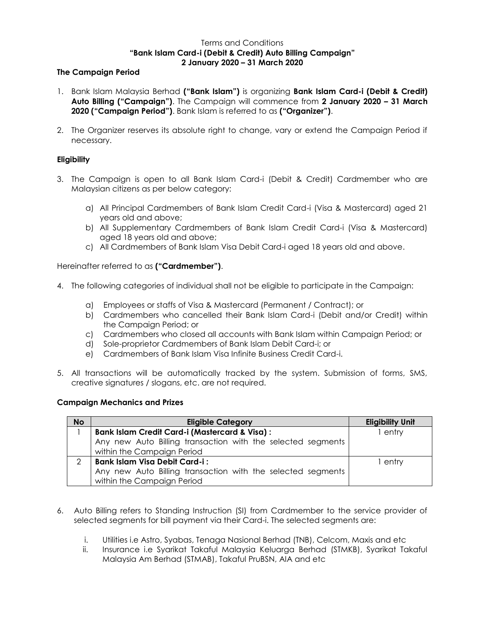# Terms and Conditions **"Bank Islam Card-i (Debit & Credit) Auto Billing Campaign" 2 January 2020 – 31 March 2020**

### **The Campaign Period**

- 1. Bank Islam Malaysia Berhad **("Bank Islam")** is organizing **Bank Islam Card-i (Debit & Credit) Auto Billing ("Campaign")**. The Campaign will commence from **2 January 2020 – 31 March 2020 ("Campaign Period")**. Bank Islam is referred to as **("Organizer")**.
- 2. The Organizer reserves its absolute right to change, vary or extend the Campaign Period if necessary.

## **Eligibility**

- 3. The Campaign is open to all Bank Islam Card-i (Debit & Credit) Cardmember who are Malaysian citizens as per below category:
	- a) All Principal Cardmembers of Bank Islam Credit Card-i (Visa & Mastercard) aged 21 years old and above;
	- b) All Supplementary Cardmembers of Bank Islam Credit Card-i (Visa & Mastercard) aged 18 years old and above;
	- c) All Cardmembers of Bank Islam Visa Debit Card-i aged 18 years old and above.

Hereinafter referred to as **("Cardmember")**.

- 4. The following categories of individual shall not be eligible to participate in the Campaign:
	- a) Employees or staffs of Visa & Mastercard (Permanent / Contract); or
	- b) Cardmembers who cancelled their Bank Islam Card-i (Debit and/or Credit) within the Campaign Period; or
	- c) Cardmembers who closed all accounts with Bank Islam within Campaign Period; or
	- d) Sole-proprietor Cardmembers of Bank Islam Debit Card-i; or
	- e) Cardmembers of Bank Islam Visa Infinite Business Credit Card-i.
- 5. All transactions will be automatically tracked by the system. Submission of forms, SMS, creative signatures / slogans, etc. are not required.

## **Campaign Mechanics and Prizes**

| <b>No</b> | <b>Eligible Category</b>                                    | <b>Eligibility Unit</b> |
|-----------|-------------------------------------------------------------|-------------------------|
|           | <b>Bank Islam Credit Card-i (Mastercard &amp; Visa):</b>    | l entry                 |
|           | Any new Auto Billing transaction with the selected segments |                         |
|           | within the Campaign Period                                  |                         |
|           | <b>Bank Islam Visa Debit Card-i:</b>                        | l entry                 |
|           | Any new Auto Billing transaction with the selected segments |                         |
|           | within the Campaign Period                                  |                         |

- 6. Auto Billing refers to Standing Instruction (SI) from Cardmember to the service provider of selected segments for bill payment via their Card-i. The selected segments are:
	- i. Utilities i.e Astro, Syabas, Tenaga Nasional Berhad (TNB), Celcom, Maxis and etc
	- ii. Insurance i.e Syarikat Takaful Malaysia Keluarga Berhad (STMKB), Syarikat Takaful Malaysia Am Berhad (STMAB), Takaful PruBSN, AIA and etc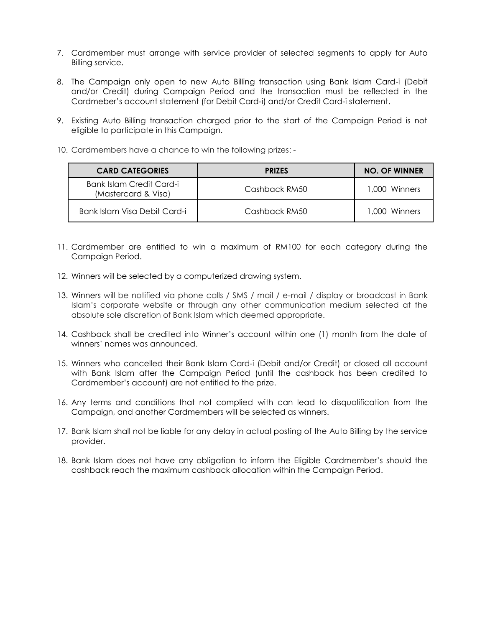- 7. Cardmember must arrange with service provider of selected segments to apply for Auto Billing service.
- 8. The Campaign only open to new Auto Billing transaction using Bank Islam Card-i (Debit and/or Credit) during Campaign Period and the transaction must be reflected in the Cardmeber's account statement (for Debit Card-i) and/or Credit Card-i statement.
- 9. Existing Auto Billing transaction charged prior to the start of the Campaign Period is not eligible to participate in this Campaign.
- 10. Cardmembers have a chance to win the following prizes: -

| <b>CARD CATEGORIES</b>                          | <b>PRIZES</b> | <b>NO. OF WINNER</b> |
|-------------------------------------------------|---------------|----------------------|
| Bank Islam Credit Card-i<br>(Mastercard & Visa) | Cashback RM50 | 1,000 Winners        |
| Bank Islam Visa Debit Card-i                    | Cashback RM50 | 1,000 Winners        |

- 11. Cardmember are entitled to win a maximum of RM100 for each category during the Campaign Period.
- 12. Winners will be selected by a computerized drawing system.
- 13. Winners will be notified via phone calls / SMS / mail / e-mail / display or broadcast in Bank Islam's corporate website or through any other communication medium selected at the absolute sole discretion of Bank Islam which deemed appropriate.
- 14. Cashback shall be credited into Winner's account within one (1) month from the date of winners' names was announced.
- 15. Winners who cancelled their Bank Islam Card-i (Debit and/or Credit) or closed all account with Bank Islam after the Campaign Period (until the cashback has been credited to Cardmember's account) are not entitled to the prize.
- 16. Any terms and conditions that not complied with can lead to disqualification from the Campaign, and another Cardmembers will be selected as winners.
- 17. Bank Islam shall not be liable for any delay in actual posting of the Auto Billing by the service provider.
- 18. Bank Islam does not have any obligation to inform the Eligible Cardmember's should the cashback reach the maximum cashback allocation within the Campaign Period.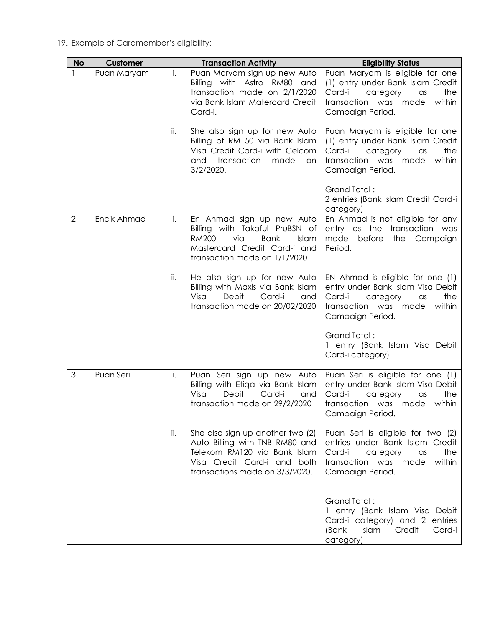19. Example of Cardmember's eligibility:

| <b>No</b>      | Customer    |     | <b>Transaction Activity</b>                                                                                                                                                | <b>Eligibility Status</b>                                                                                                                                                |
|----------------|-------------|-----|----------------------------------------------------------------------------------------------------------------------------------------------------------------------------|--------------------------------------------------------------------------------------------------------------------------------------------------------------------------|
| 1              | Puan Maryam | i.  | Puan Maryam sign up new Auto<br>Billing with Astro RM80 and<br>transaction made on 2/1/2020<br>via Bank Islam Matercard Credit<br>Card-i.                                  | Puan Maryam is eligible for one<br>(1) entry under Bank Islam Credit<br>Card-i<br>category<br>the<br>$\alpha$ s<br>within<br>transaction was made<br>Campaign Period.    |
|                |             | ii. | She also sign up for new Auto<br>Billing of RM150 via Bank Islam<br>Visa Credit Card-i with Celcom<br>transaction<br>and<br>made<br>on<br>$3/2/2020$ .                     | Puan Maryam is eligible for one<br>(1) entry under Bank Islam Credit<br>Card-i<br>category<br>the<br>$\alpha$ s<br>within<br>transaction was<br>made<br>Campaign Period. |
|                |             |     |                                                                                                                                                                            | Grand Total:<br>2 entries (Bank Islam Credit Card-i<br>category)                                                                                                         |
| $\overline{2}$ | Encik Ahmad | i.  | En Ahmad sign up new Auto<br>Billing with Takaful PruBSN of<br>via<br><b>RM200</b><br><b>Bank</b><br>Islam<br>Mastercard Credit Card-i and<br>transaction made on 1/1/2020 | En Ahmad is not eligible for any<br>entry as the<br>transaction was<br>made<br>before<br>the Campaign<br>Period.                                                         |
|                |             | ii. | He also sign up for new Auto<br>Billing with Maxis via Bank Islam<br>Debit<br>Card-i<br>Visa<br>and<br>transaction made on 20/02/2020                                      | EN Ahmad is eligible for one (1)<br>entry under Bank Islam Visa Debit<br>Card-i<br>category<br>the<br>$\alpha$ s<br>transaction was made<br>within<br>Campaign Period.   |
|                |             |     |                                                                                                                                                                            | Grand Total:<br>1 entry (Bank Islam Visa Debit<br>Card-i category)                                                                                                       |
| 3              | Puan Seri   | i.  | Puan Seri sign up new Auto<br>Billing with Etiqa via Bank Islam<br>Visa<br>Debit<br>Card-i<br>and<br>transaction made on 29/2/2020                                         | Puan Seri is eligible for one (1)<br>entry under Bank Islam Visa Debit<br>Card-i<br>category<br>the<br>$\alpha$ s<br>transaction was made<br>within<br>Campaign Period.  |
|                |             | ii. | She also sign up another two (2)<br>Auto Billing with TNB RM80 and<br>Telekom RM120 via Bank Islam<br>Visa Credit Card-i and both<br>transactions made on 3/3/2020.        | Puan Seri is eligible for two (2)<br>entries under Bank Islam Credit<br>Card-i<br>category<br>the<br>$\alpha$ s<br>transaction was made<br>within<br>Campaign Period.    |
|                |             |     |                                                                                                                                                                            | Grand Total:<br>1 entry (Bank Islam Visa Debit<br>Card-i category) and 2 entries<br>(Bank<br>Islam<br>Credit<br>Card-i<br>category)                                      |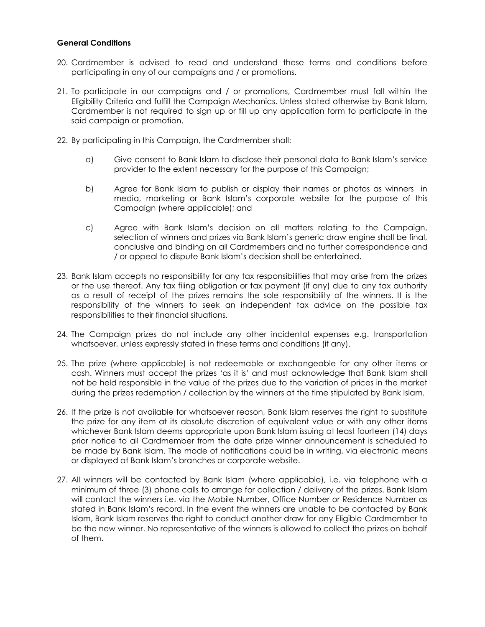### **General Conditions**

- 20. Cardmember is advised to read and understand these terms and conditions before participating in any of our campaigns and / or promotions.
- 21. To participate in our campaigns and / or promotions, Cardmember must fall within the Eligibility Criteria and fulfill the Campaign Mechanics. Unless stated otherwise by Bank Islam, Cardmember is not required to sign up or fill up any application form to participate in the said campaign or promotion.
- 22. By participating in this Campaign, the Cardmember shall:
	- a) Give consent to Bank Islam to disclose their personal data to Bank Islam's service provider to the extent necessary for the purpose of this Campaign;
	- b) Agree for Bank Islam to publish or display their names or photos as winners in media, marketing or Bank Islam's corporate website for the purpose of this Campaign (where applicable); and
	- c) Agree with Bank Islam's decision on all matters relating to the Campaign, selection of winners and prizes via Bank Islam's generic draw engine shall be final, conclusive and binding on all Cardmembers and no further correspondence and / or appeal to dispute Bank Islam's decision shall be entertained.
- 23. Bank Islam accepts no responsibility for any tax responsibilities that may arise from the prizes or the use thereof. Any tax filing obligation or tax payment (if any) due to any tax authority as a result of receipt of the prizes remains the sole responsibility of the winners. It is the responsibility of the winners to seek an independent tax advice on the possible tax responsibilities to their financial situations.
- 24. The Campaign prizes do not include any other incidental expenses e.g. transportation whatsoever, unless expressly stated in these terms and conditions (if any).
- 25. The prize (where applicable) is not redeemable or exchangeable for any other items or cash. Winners must accept the prizes 'as it is' and must acknowledge that Bank Islam shall not be held responsible in the value of the prizes due to the variation of prices in the market during the prizes redemption / collection by the winners at the time stipulated by Bank Islam.
- 26. If the prize is not available for whatsoever reason, Bank Islam reserves the right to substitute the prize for any item at its absolute discretion of equivalent value or with any other items whichever Bank Islam deems appropriate upon Bank Islam issuing at least fourteen (14) days prior notice to all Cardmember from the date prize winner announcement is scheduled to be made by Bank Islam. The mode of notifications could be in writing, via electronic means or displayed at Bank Islam's branches or corporate website.
- 27. All winners will be contacted by Bank Islam (where applicable), i.e. via telephone with a minimum of three (3) phone calls to arrange for collection / delivery of the prizes. Bank Islam will contact the winners i.e. via the Mobile Number, Office Number or Residence Number as stated in Bank Islam's record. In the event the winners are unable to be contacted by Bank Islam, Bank Islam reserves the right to conduct another draw for any Eligible Cardmember to be the new winner. No representative of the winners is allowed to collect the prizes on behalf of them.